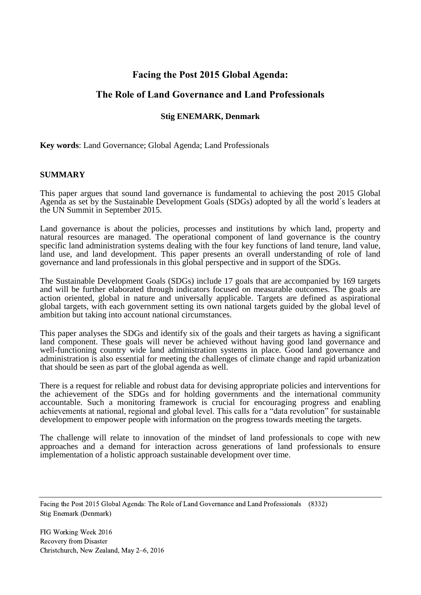## **Facing the Post 2015 Global Agenda:**

# **The Role of Land Governance and Land Professionals**

## **Stig ENEMARK, Denmark**

**Key words**: Land Governance; Global Agenda; Land Professionals

#### **SUMMARY**

This paper argues that sound land governance is fundamental to achieving the post 2015 Global Agenda as set by the Sustainable Development Goals (SDGs) adopted by all the world´s leaders at the UN Summit in September 2015.

Land governance is about the policies, processes and institutions by which land, property and natural resources are managed. The operational component of land governance is the country specific land administration systems dealing with the four key functions of land tenure, land value, land use, and land development. This paper presents an overall understanding of role of land governance and land professionals in this global perspective and in support of the SDGs.

The Sustainable Development Goals (SDGs) include 17 goals that are accompanied by 169 targets and will be further elaborated through indicators focused on measurable outcomes. The goals are action oriented, global in nature and universally applicable. Targets are defined as aspirational global targets, with each government setting its own national targets guided by the global level of ambition but taking into account national circumstances.

This paper analyses the SDGs and identify six of the goals and their targets as having a significant land component. These goals will never be achieved without having good land governance and well-functioning country wide land administration systems in place. Good land governance and administration is also essential for meeting the challenges of climate change and rapid urbanization that should be seen as part of the global agenda as well.

There is a request for reliable and robust data for devising appropriate policies and interventions for the achievement of the SDGs and for holding governments and the international community accountable. Such a monitoring framework is crucial for encouraging progress and enabling achievements at national, regional and global level. This calls for a "data revolution" for sustainable development to empower people with information on the progress towards meeting the targets.

The challenge will relate to innovation of the mindset of land professionals to cope with new approaches and a demand for interaction across generations of land professionals to ensure implementation of a holistic approach sustainable development over time.

Facing the Post 2015 Global Agenda: The Role of Land Governance and Land Professionals (8332) Stig Enemark (Denmark)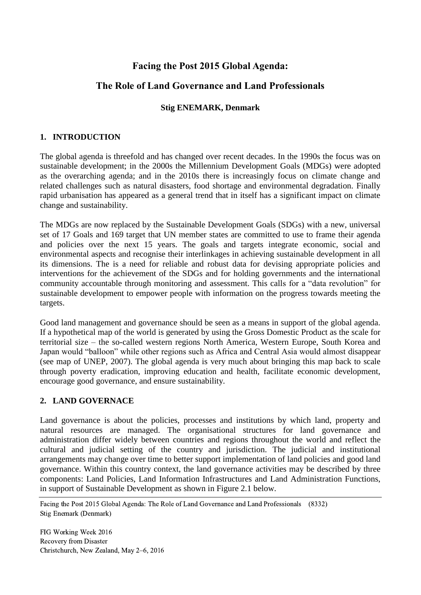# **Facing the Post 2015 Global Agenda:**

# **The Role of Land Governance and Land Professionals**

## **Stig ENEMARK, Denmark**

## **1. INTRODUCTION**

The global agenda is threefold and has changed over recent decades. In the 1990s the focus was on sustainable development; in the 2000s the Millennium Development Goals (MDGs) were adopted as the overarching agenda; and in the 2010s there is increasingly focus on climate change and related challenges such as natural disasters, food shortage and environmental degradation. Finally rapid urbanisation has appeared as a general trend that in itself has a significant impact on climate change and sustainability.

The MDGs are now replaced by the Sustainable Development Goals (SDGs) with a new, universal set of 17 Goals and 169 target that UN member states are committed to use to frame their agenda and policies over the next 15 years. The goals and targets integrate economic, social and environmental aspects and recognise their interlinkages in achieving sustainable development in all its dimensions. The is a need for reliable and robust data for devising appropriate policies and interventions for the achievement of the SDGs and for holding governments and the international community accountable through monitoring and assessment. This calls for a "data revolution" for sustainable development to empower people with information on the progress towards meeting the targets.

Good land management and governance should be seen as a means in support of the global agenda. If a hypothetical map of the world is generated by using the Gross Domestic Product as the scale for territorial size – the so-called western regions North America, Western Europe, South Korea and Japan would "balloon" while other regions such as Africa and Central Asia would almost disappear (see map of UNEP, 2007). The global agenda is very much about bringing this map back to scale through poverty eradication, improving education and health, facilitate economic development, encourage good governance, and ensure sustainability.

## **2. LAND GOVERNACE**

Land governance is about the policies, processes and institutions by which land, property and natural resources are managed. The organisational structures for land governance and administration differ widely between countries and regions throughout the world and reflect the cultural and judicial setting of the country and jurisdiction. The judicial and institutional arrangements may change over time to better support implementation of land policies and good land governance. Within this country context, the land governance activities may be described by three components: Land Policies, Land Information Infrastructures and Land Administration Functions, in support of Sustainable Development as shown in Figure 2.1 below.

Facing the Post 2015 Global Agenda: The Role of Land Governance and Land Professionals (8332) Stig Enemark (Denmark)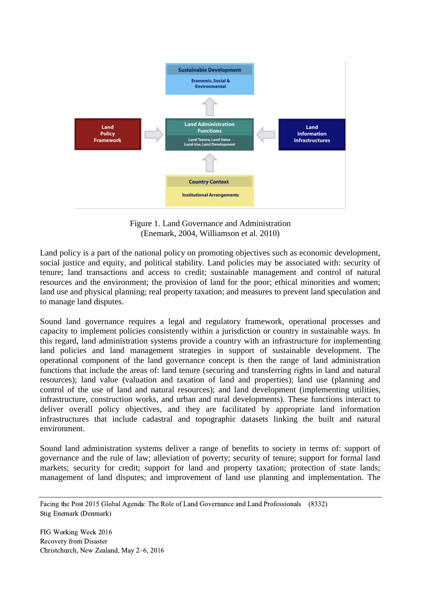

Figure 1. Land Governance and Administration (Enemark, 2004, Williamson et al. 2010)

Land policy is a part of the national policy on promoting objectives such as economic development, social justice and equity, and political stability. Land policies may be associated with: security of tenure; land transactions and access to credit; sustainable management and control of natural resources and the environment; the provision of land for the poor; ethical minorities and women; land use and physical planning; real property taxation; and measures to prevent land speculation and to manage land disputes.

Sound land governance requires a legal and regulatory framework, operational processes and capacity to implement policies consistently within a jurisdiction or country in sustainable ways. In this regard, land administration systems provide a country with an infrastructure for implementing land policies and land management strategies in support of sustainable development. The operational component of the land governance concept is then the range of land administration functions that include the areas of: land tenure (securing and transferring rights in land and natural resources); land value (valuation and taxation of land and properties); land use (planning and control of the use of land and natural resources); and land development (implementing utilities, infrastructure, construction works, and urban and rural developments). These functions interact to deliver overall policy objectives, and they are facilitated by appropriate land information infrastructures that include cadastral and topographic datasets linking the built and natural environment.

Sound land administration systems deliver a range of benefits to society in terms of: support of governance and the rule of law; alleviation of poverty; security of tenure; support for formal land markets; security for credit; support for land and property taxation; protection of state lands; management of land disputes; and improvement of land use planning and implementation. The

Facing the Post 2015 Global Agenda: The Role of Land Governance and Land Professionals (8332) Stig Enemark (Denmark)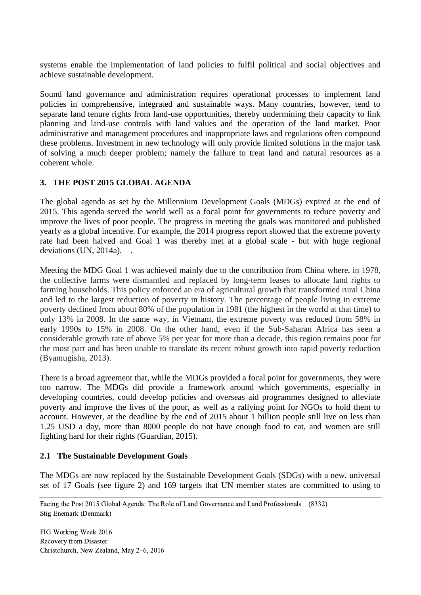systems enable the implementation of land policies to fulfil political and social objectives and achieve sustainable development.

Sound land governance and administration requires operational processes to implement land policies in comprehensive, integrated and sustainable ways. Many countries, however, tend to separate land tenure rights from land-use opportunities, thereby undermining their capacity to link planning and land-use controls with land values and the operation of the land market. Poor administrative and management procedures and inappropriate laws and regulations often compound these problems. Investment in new technology will only provide limited solutions in the major task of solving a much deeper problem; namely the failure to treat land and natural resources as a coherent whole.

## **3. THE POST 2015 GLOBAL AGENDA**

The global agenda as set by the Millennium Development Goals (MDGs) expired at the end of 2015. This agenda served the world well as a focal point for governments to reduce poverty and improve the lives of poor people. The progress in meeting the goals was monitored and published yearly as a global incentive. For example, the 2014 progress report showed that the extreme poverty rate had been halved and Goal 1 was thereby met at a global scale - but with huge regional deviations (UN, 2014a). .

Meeting the MDG Goal 1 was achieved mainly due to the contribution from China where, in 1978, the collective farms were dismantled and replaced by long-term leases to allocate land rights to farming households. This policy enforced an era of agricultural growth that transformed rural China and led to the largest reduction of poverty in history. The percentage of people living in extreme poverty declined from about 80% of the population in 1981 (the highest in the world at that time) to only 13% in 2008. In the same way, in Vietnam, the extreme poverty was reduced from 58% in early 1990s to 15% in 2008. On the other hand, even if the Sub-Saharan Africa has seen a considerable growth rate of above 5% per year for more than a decade, this region remains poor for the most part and has been unable to translate its recent robust growth into rapid poverty reduction (Byamugisha, 2013).

There is a broad agreement that, while the MDGs provided a focal point for governments, they were too narrow. The MDGs did provide a framework around which governments, especially in developing countries, could develop policies and overseas aid programmes designed to alleviate poverty and improve the lives of the poor, as well as a rallying point for NGOs to hold them to account. However, at the deadline by the end of 2015 about 1 billion people still live on less than 1.25 USD a day, more than 8000 people do not have enough food to eat, and women are still fighting hard for their rights (Guardian, 2015).

## **2.1 The Sustainable Development Goals**

The MDGs are now replaced by the Sustainable Development Goals (SDGs) with a new, universal set of 17 Goals (see figure 2) and 169 targets that UN member states are committed to using to

Facing the Post 2015 Global Agenda: The Role of Land Governance and Land Professionals (8332) Stig Enemark (Denmark)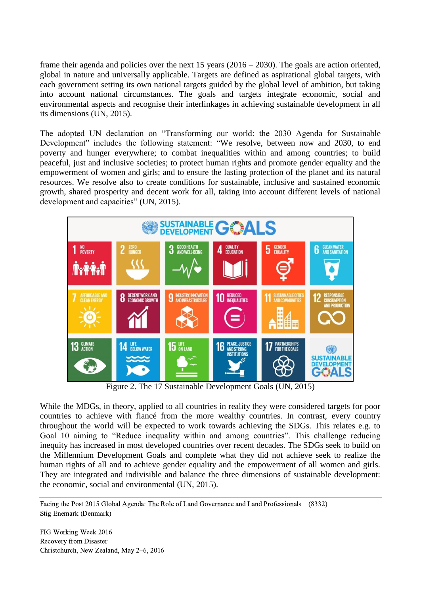frame their agenda and policies over the next 15 years (2016 – 2030). The goals are action oriented, global in nature and universally applicable. Targets are defined as aspirational global targets, with each government setting its own national targets guided by the global level of ambition, but taking into account national circumstances. The goals and targets integrate economic, social and environmental aspects and recognise their interlinkages in achieving sustainable development in all its dimensions (UN, 2015).

The adopted UN declaration on "Transforming our world: the 2030 Agenda for Sustainable Development" includes the following statement: "We resolve, between now and 2030, to end poverty and hunger everywhere; to combat inequalities within and among countries; to build peaceful, just and inclusive societies; to protect human rights and promote gender equality and the empowerment of women and girls; and to ensure the lasting protection of the planet and its natural resources. We resolve also to create conditions for sustainable, inclusive and sustained economic growth, shared prosperity and decent work for all, taking into account different levels of national development and capacities" (UN, 2015).



Figure 2. The 17 Sustainable Development Goals (UN, 2015)

While the MDGs, in theory, applied to all countries in reality they were considered targets for poor countries to achieve with fiancé from the more wealthy countries. In contrast, every country throughout the world will be expected to work towards achieving the SDGs. This relates e.g. to Goal 10 aiming to "Reduce inequality within and among countries". This challenge reducing inequity has increased in most developed countries over recent decades. The SDGs seek to build on the Millennium Development Goals and complete what they did not achieve seek to realize the human rights of all and to achieve gender equality and the empowerment of all women and girls. They are integrated and indivisible and balance the three dimensions of sustainable development: the economic, social and environmental (UN, 2015).

Facing the Post 2015 Global Agenda: The Role of Land Governance and Land Professionals (8332) Stig Enemark (Denmark)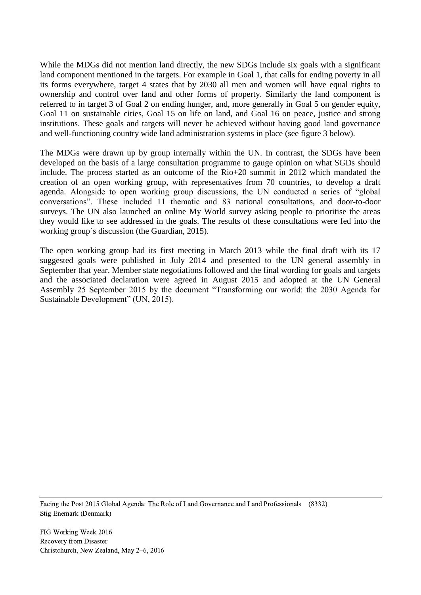While the MDGs did not mention land directly, the new SDGs include six goals with a significant land component mentioned in the targets. For example in Goal 1, that calls for ending poverty in all its forms everywhere, target 4 states that by 2030 all men and women will have equal rights to ownership and control over land and other forms of property. Similarly the land component is referred to in target 3 of Goal 2 on ending hunger, and, more generally in Goal 5 on gender equity, Goal 11 on sustainable cities, Goal 15 on life on land, and Goal 16 on peace, justice and strong institutions. These goals and targets will never be achieved without having good land governance and well-functioning country wide land administration systems in place (see figure 3 below).

The MDGs were drawn up by group internally within the UN. In contrast, the SDGs have been developed on the basis of a large consultation programme to gauge opinion on what SGDs should include. The process started as an outcome of the Rio+20 summit in 2012 which mandated the creation of an open working group, with representatives from 70 countries, to develop a draft agenda. Alongside to open working group discussions, the UN conducted a series of "global conversations". These included 11 thematic and 83 national consultations, and door-to-door surveys. The UN also launched an online My World survey asking people to prioritise the areas they would like to see addressed in the goals. The results of these consultations were fed into the working group´s discussion (the Guardian, 2015).

The open working group had its first meeting in March 2013 while the final draft with its 17 suggested goals were published in July 2014 and presented to the UN general assembly in September that year. Member state negotiations followed and the final wording for goals and targets and the associated declaration were agreed in August 2015 and adopted at the UN General Assembly 25 September 2015 by the document "Transforming our world: the 2030 Agenda for Sustainable Development" (UN, 2015).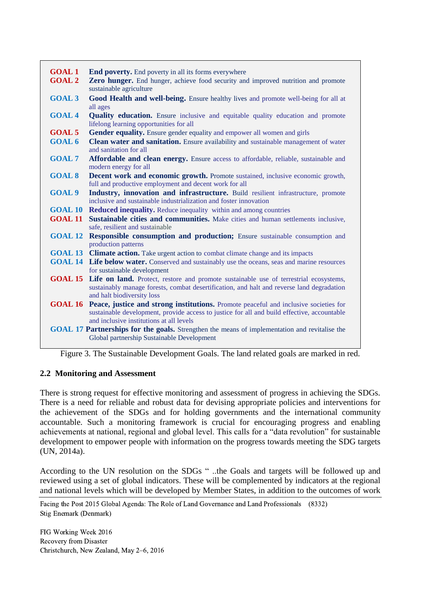| <b>GOAL1</b>                                                                                         | <b>End poverty.</b> End poverty in all its forms everywhere                                                                         |
|------------------------------------------------------------------------------------------------------|-------------------------------------------------------------------------------------------------------------------------------------|
| <b>GOAL 2</b>                                                                                        | Zero hunger. End hunger, achieve food security and improved nutrition and promote                                                   |
|                                                                                                      | sustainable agriculture                                                                                                             |
| <b>GOAL 3</b>                                                                                        | Good Health and well-being. Ensure healthy lives and promote well-being for all at                                                  |
|                                                                                                      | all ages                                                                                                                            |
| <b>GOAL4</b>                                                                                         | <b>Quality education.</b> Ensure inclusive and equitable quality education and promote                                              |
|                                                                                                      | lifelong learning opportunities for all                                                                                             |
| <b>GOAL 5</b>                                                                                        | Gender equality. Ensure gender equality and empower all women and girls                                                             |
| <b>GOAL 6</b>                                                                                        | Clean water and sanitation. Ensure availability and sustainable management of water                                                 |
|                                                                                                      | and sanitation for all                                                                                                              |
| <b>GOAL 7</b>                                                                                        | Affordable and clean energy. Ensure access to affordable, reliable, sustainable and                                                 |
|                                                                                                      | modern energy for all                                                                                                               |
| <b>GOAL 8</b>                                                                                        | <b>Decent work and economic growth.</b> Promote sustained, inclusive economic growth,                                               |
|                                                                                                      | full and productive employment and decent work for all                                                                              |
| <b>GOAL 9</b>                                                                                        | Industry, innovation and infrastructure. Build resilient infrastructure, promote                                                    |
|                                                                                                      | inclusive and sustainable industrialization and foster innovation                                                                   |
| <b>GOAL 10</b>                                                                                       | <b>Reduced inequality.</b> Reduce inequality within and among countries                                                             |
|                                                                                                      | <b>GOAL 11</b> Sustainable cities and communities. Make cities and human settlements inclusive,                                     |
|                                                                                                      | safe, resilient and sustainable                                                                                                     |
| <b>GOAL 12</b>                                                                                       | <b>Responsible consumption and production;</b> Ensure sustainable consumption and                                                   |
|                                                                                                      | production patterns                                                                                                                 |
|                                                                                                      | <b>GOAL 13</b> Climate action. Take urgent action to combat climate change and its impacts                                          |
|                                                                                                      | <b>GOAL 14</b> Life below water. Conserved and sustainably use the oceans, seas and marine resources<br>for sustainable development |
|                                                                                                      | GOAL 15 Life on land. Protect, restore and promote sustainable use of terrestrial ecosystems,                                       |
|                                                                                                      | sustainably manage forests, combat desertification, and halt and reverse land degradation                                           |
|                                                                                                      | and halt biodiversity loss                                                                                                          |
| <b>GOAL 16</b>                                                                                       | <b>Peace, justice and strong institutions.</b> Promote peaceful and inclusive societies for                                         |
|                                                                                                      | sustainable development, provide access to justice for all and build effective, accountable                                         |
|                                                                                                      | and inclusive institutions at all levels                                                                                            |
| <b>GOAL 17 Partnerships for the goals.</b> Strengthen the means of implementation and revitalise the |                                                                                                                                     |
|                                                                                                      | Global partnership Sustainable Development                                                                                          |

Figure 3. The Sustainable Development Goals. The land related goals are marked in red.

## **2.2 Monitoring and Assessment**

There is strong request for effective monitoring and assessment of progress in achieving the SDGs. There is a need for reliable and robust data for devising appropriate policies and interventions for the achievement of the SDGs and for holding governments and the international community accountable. Such a monitoring framework is crucial for encouraging progress and enabling achievements at national, regional and global level. This calls for a "data revolution" for sustainable development to empower people with information on the progress towards meeting the SDG targets (UN, 2014a).

According to the UN resolution on the SDGs " ..the Goals and targets will be followed up and reviewed using a set of global indicators. These will be complemented by indicators at the regional and national levels which will be developed by Member States, in addition to the outcomes of work

Facing the Post 2015 Global Agenda: The Role of Land Governance and Land Professionals (8332) Stig Enemark (Denmark)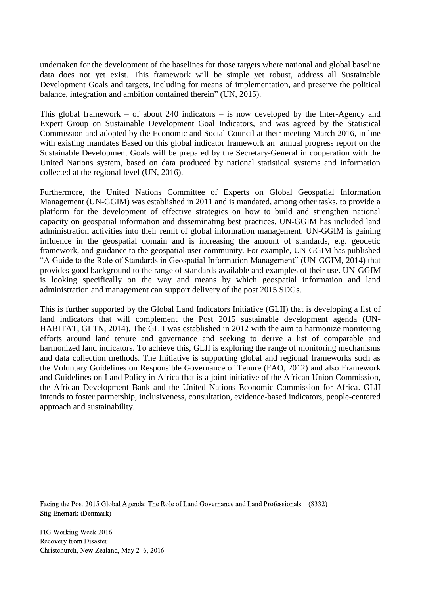undertaken for the development of the baselines for those targets where national and global baseline data does not yet exist. This framework will be simple yet robust, address all Sustainable Development Goals and targets, including for means of implementation, and preserve the political balance, integration and ambition contained therein" (UN, 2015).

This global framework – of about 240 indicators – is now developed by the Inter-Agency and Expert Group on Sustainable Development Goal Indicators, and was agreed by the Statistical Commission and adopted by the Economic and Social Council at their meeting March 2016, in line with existing mandates Based on this global indicator framework an annual progress report on the Sustainable Development Goals will be prepared by the Secretary-General in cooperation with the United Nations system, based on data produced by national statistical systems and information collected at the regional level (UN, 2016).

Furthermore, the United Nations Committee of Experts on Global Geospatial Information Management (UN-GGIM) was established in 2011 and is mandated, among other tasks, to provide a platform for the development of effective strategies on how to build and strengthen national capacity on geospatial information and disseminating best practices. UN-GGIM has included land administration activities into their remit of global information management. UN-GGIM is gaining influence in the geospatial domain and is increasing the amount of standards, e.g. geodetic framework, and guidance to the geospatial user community. For example, UN-GGIM has published "A Guide to the Role of Standards in Geospatial Information Management" (UN-GGIM, 2014) that provides good background to the range of standards available and examples of their use. UN-GGIM is looking specifically on the way and means by which geospatial information and land administration and management can support delivery of the post 2015 SDGs.

This is further supported by the Global Land Indicators Initiative (GLII) that is developing a list of land indicators that will complement the Post 2015 sustainable development agenda (UN-HABITAT, GLTN, 2014). The GLII was established in 2012 with the aim to harmonize monitoring efforts around land tenure and governance and seeking to derive a list of comparable and harmonized land indicators. To achieve this, GLII is exploring the range of monitoring mechanisms and data collection methods. The Initiative is supporting global and regional frameworks such as the Voluntary Guidelines on Responsible Governance of Tenure (FAO, 2012) and also Framework and Guidelines on Land Policy in Africa that is a joint initiative of the African Union Commission, the African Development Bank and the United Nations Economic Commission for Africa. GLII intends to foster partnership, inclusiveness, consultation, evidence-based indicators, people-centered approach and sustainability.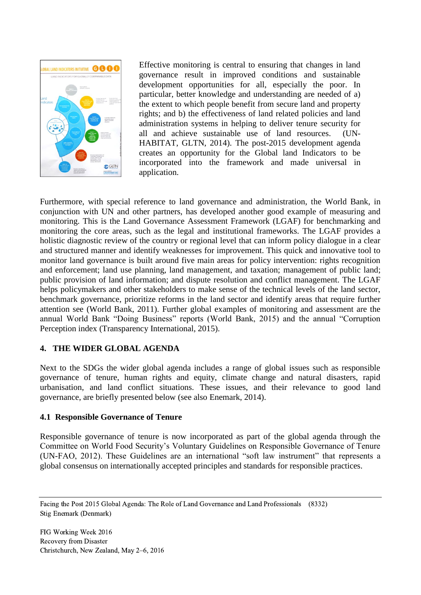

Effective monitoring is central to ensuring that changes in land governance result in improved conditions and sustainable development opportunities for all, especially the poor. In particular, better knowledge and understanding are needed of a) the extent to which people benefit from secure land and property rights; and b) the effectiveness of land related policies and land administration systems in helping to deliver tenure security for all and achieve sustainable use of land resources. (UN-HABITAT, GLTN, 2014). The post-2015 development agenda creates an opportunity for the Global land Indicators to be incorporated into the framework and made universal in application.

Furthermore, with special reference to land governance and administration, the World Bank, in conjunction with UN and other partners, has developed another good example of measuring and monitoring. This is the Land Governance Assessment Framework (LGAF) for benchmarking and monitoring the core areas, such as the legal and institutional frameworks. The LGAF provides a holistic diagnostic review of the country or regional level that can inform policy dialogue in a clear and structured manner and identify weaknesses for improvement. This quick and innovative tool to monitor land governance is built around five main areas for policy intervention: rights recognition and enforcement; land use planning, land management, and taxation; management of public land; public provision of land information; and dispute resolution and conflict management. The LGAF helps policymakers and other stakeholders to make sense of the technical levels of the land sector, benchmark governance, prioritize reforms in the land sector and identify areas that require further attention see (World Bank, 2011). Further global examples of monitoring and assessment are the annual World Bank "Doing Business" reports (World Bank, 2015) and the annual "Corruption Perception index (Transparency International, 2015).

## **4. THE WIDER GLOBAL AGENDA**

Next to the SDGs the wider global agenda includes a range of global issues such as responsible governance of tenure, human rights and equity, climate change and natural disasters, rapid urbanisation, and land conflict situations. These issues, and their relevance to good land governance, are briefly presented below (see also Enemark, 2014).

## **4.1 Responsible Governance of Tenure**

Responsible governance of tenure is now incorporated as part of the global agenda through the Committee on World Food Security's Voluntary Guidelines on Responsible Governance of Tenure (UN-FAO, 2012). These Guidelines are an international "soft law instrument" that represents a global consensus on internationally accepted principles and standards for responsible practices.

Facing the Post 2015 Global Agenda: The Role of Land Governance and Land Professionals (8332) Stig Enemark (Denmark)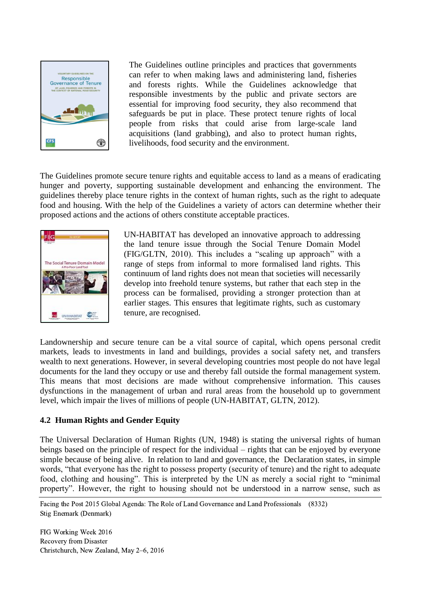

The Guidelines outline principles and practices that governments can refer to when making laws and administering land, fisheries and forests rights. While the Guidelines acknowledge that responsible investments by the public and private sectors are essential for improving food security, they also recommend that safeguards be put in place. These protect tenure rights of local people from risks that could arise from large-scale land acquisitions (land grabbing), and also to protect human rights, livelihoods, food security and the environment.

The Guidelines promote secure tenure rights and equitable access to land as a means of eradicating hunger and poverty, supporting sustainable development and enhancing the environment. The guidelines thereby place tenure rights in the context of human rights, such as the right to adequate food and housing. With the help of the Guidelines a variety of actors can determine whether their proposed actions and the actions of others constitute acceptable practices.



UN-HABITAT has developed an innovative approach to addressing the land tenure issue through the Social Tenure Domain Model (FIG/GLTN, 2010). This includes a "scaling up approach" with a range of steps from informal to more formalised land rights. This continuum of land rights does not mean that societies will necessarily develop into freehold tenure systems, but rather that each step in the process can be formalised, providing a stronger protection than at earlier stages. This ensures that legitimate rights, such as customary tenure, are recognised.

Landownership and secure tenure can be a vital source of capital, which opens personal credit markets, leads to investments in land and buildings, provides a social safety net, and transfers wealth to next generations. However, in several developing countries most people do not have legal documents for the land they occupy or use and thereby fall outside the formal management system. This means that most decisions are made without comprehensive information. This causes dysfunctions in the management of urban and rural areas from the household up to government level, which impair the lives of millions of people (UN-HABITAT, GLTN, 2012).

## **4.2 Human Rights and Gender Equity**

The Universal Declaration of Human Rights (UN, 1948) is stating the universal rights of human beings based on the principle of respect for the individual – rights that can be enjoyed by everyone simple because of being alive. In relation to land and governance, the Declaration states, in simple words, "that everyone has the right to possess property (security of tenure) and the right to adequate food, clothing and housing". This is interpreted by the UN as merely a social right to "minimal property". However, the right to housing should not be understood in a narrow sense, such as

Facing the Post 2015 Global Agenda: The Role of Land Governance and Land Professionals (8332) Stig Enemark (Denmark)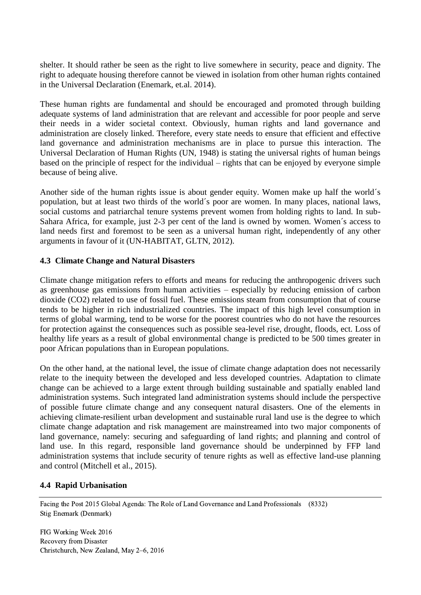shelter. It should rather be seen as the right to live somewhere in security, peace and dignity. The right to adequate housing therefore cannot be viewed in isolation from other human rights contained in the Universal Declaration (Enemark, et.al. 2014).

These human rights are fundamental and should be encouraged and promoted through building adequate systems of land administration that are relevant and accessible for poor people and serve their needs in a wider societal context. Obviously, human rights and land governance and administration are closely linked. Therefore, every state needs to ensure that efficient and effective land governance and administration mechanisms are in place to pursue this interaction. The Universal Declaration of Human Rights (UN, 1948) is stating the universal rights of human beings based on the principle of respect for the individual – rights that can be enjoyed by everyone simple because of being alive.

Another side of the human rights issue is about gender equity. Women make up half the world´s population, but at least two thirds of the world´s poor are women. In many places, national laws, social customs and patriarchal tenure systems prevent women from holding rights to land. In sub-Sahara Africa, for example, just 2-3 per cent of the land is owned by women. Women´s access to land needs first and foremost to be seen as a universal human right, independently of any other arguments in favour of it (UN-HABITAT, GLTN, 2012).

## **4.3 Climate Change and Natural Disasters**

Climate change mitigation refers to efforts and means for reducing the anthropogenic drivers such as greenhouse gas emissions from human activities – especially by reducing emission of carbon dioxide (CO2) related to use of fossil fuel. These emissions steam from consumption that of course tends to be higher in rich industrialized countries. The impact of this high level consumption in terms of global warming, tend to be worse for the poorest countries who do not have the resources for protection against the consequences such as possible sea-level rise, drought, floods, ect. Loss of healthy life years as a result of global environmental change is predicted to be 500 times greater in poor African populations than in European populations.

On the other hand, at the national level, the issue of climate change adaptation does not necessarily relate to the inequity between the developed and less developed countries. Adaptation to climate change can be achieved to a large extent through building sustainable and spatially enabled land administration systems. Such integrated land administration systems should include the perspective of possible future climate change and any consequent natural disasters. One of the elements in achieving climate-resilient urban development and sustainable rural land use is the degree to which climate change adaptation and risk management are mainstreamed into two major components of land governance, namely: securing and safeguarding of land rights; and planning and control of land use. In this regard, responsible land governance should be underpinned by FFP land administration systems that include security of tenure rights as well as effective land-use planning and control (Mitchell et al., 2015).

#### **4.4 Rapid Urbanisation**

Facing the Post 2015 Global Agenda: The Role of Land Governance and Land Professionals (8332) Stig Enemark (Denmark)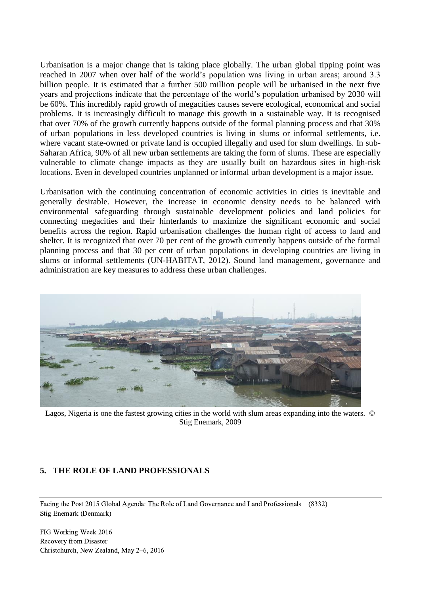Urbanisation is a major change that is taking place globally. The urban global tipping point was reached in 2007 when over half of the world's population was living in urban areas; around 3.3 billion people. It is estimated that a further 500 million people will be urbanised in the next five years and projections indicate that the percentage of the world's population urbanised by 2030 will be 60%. This incredibly rapid growth of megacities causes severe ecological, economical and social problems. It is increasingly difficult to manage this growth in a sustainable way. It is recognised that over 70% of the growth currently happens outside of the formal planning process and that 30% of urban populations in less developed countries is living in slums or informal settlements, i.e. where vacant state-owned or private land is occupied illegally and used for slum dwellings. In sub-Saharan Africa, 90% of all new urban settlements are taking the form of slums. These are especially vulnerable to climate change impacts as they are usually built on hazardous sites in high-risk locations. Even in developed countries unplanned or informal urban development is a major issue.

Urbanisation with the continuing concentration of economic activities in cities is inevitable and generally desirable. However, the increase in economic density needs to be balanced with environmental safeguarding through sustainable development policies and land policies for connecting megacities and their hinterlands to maximize the significant economic and social benefits across the region. Rapid urbanisation challenges the human right of access to land and shelter. It is recognized that over 70 per cent of the growth currently happens outside of the formal planning process and that 30 per cent of urban populations in developing countries are living in slums or informal settlements (UN-HABITAT, 2012). Sound land management, governance and administration are key measures to address these urban challenges.



Lagos, Nigeria is one the fastest growing cities in the world with slum areas expanding into the waters. © Stig Enemark, 2009

#### **5. THE ROLE OF LAND PROFESSIONALS**

Facing the Post 2015 Global Agenda: The Role of Land Governance and Land Professionals (8332) Stig Enemark (Denmark)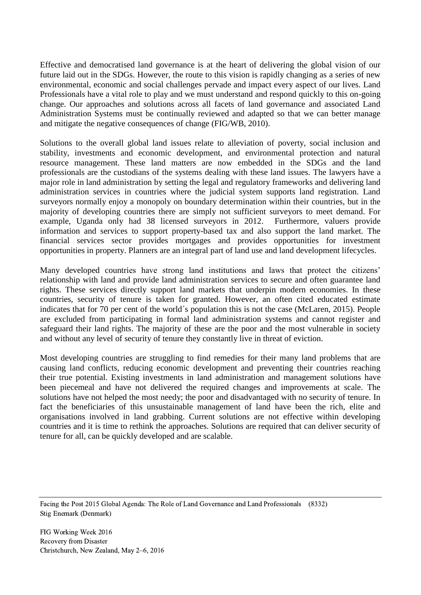Effective and democratised land governance is at the heart of delivering the global vision of our future laid out in the SDGs. However, the route to this vision is rapidly changing as a series of new environmental, economic and social challenges pervade and impact every aspect of our lives. Land Professionals have a vital role to play and we must understand and respond quickly to this on-going change. Our approaches and solutions across all facets of land governance and associated Land Administration Systems must be continually reviewed and adapted so that we can better manage and mitigate the negative consequences of change (FIG/WB, 2010).

Solutions to the overall global land issues relate to alleviation of poverty, social inclusion and stability, investments and economic development, and environmental protection and natural resource management. These land matters are now embedded in the SDGs and the land professionals are the custodians of the systems dealing with these land issues. The lawyers have a major role in land administration by setting the legal and regulatory frameworks and delivering land administration services in countries where the judicial system supports land registration. Land surveyors normally enjoy a monopoly on boundary determination within their countries, but in the majority of developing countries there are simply not sufficient surveyors to meet demand. For example, Uganda only had 38 licensed surveyors in 2012. Furthermore, valuers provide information and services to support property-based tax and also support the land market. The financial services sector provides mortgages and provides opportunities for investment opportunities in property. Planners are an integral part of land use and land development lifecycles.

Many developed countries have strong land institutions and laws that protect the citizens' relationship with land and provide land administration services to secure and often guarantee land rights. These services directly support land markets that underpin modern economies. In these countries, security of tenure is taken for granted. However, an often cited educated estimate indicates that for 70 per cent of the world´s population this is not the case (McLaren, 2015). People are excluded from participating in formal land administration systems and cannot register and safeguard their land rights. The majority of these are the poor and the most vulnerable in society and without any level of security of tenure they constantly live in threat of eviction.

Most developing countries are struggling to find remedies for their many land problems that are causing land conflicts, reducing economic development and preventing their countries reaching their true potential. Existing investments in land administration and management solutions have been piecemeal and have not delivered the required changes and improvements at scale. The solutions have not helped the most needy; the poor and disadvantaged with no security of tenure. In fact the beneficiaries of this unsustainable management of land have been the rich, elite and organisations involved in land grabbing. Current solutions are not effective within developing countries and it is time to rethink the approaches. Solutions are required that can deliver security of tenure for all, can be quickly developed and are scalable.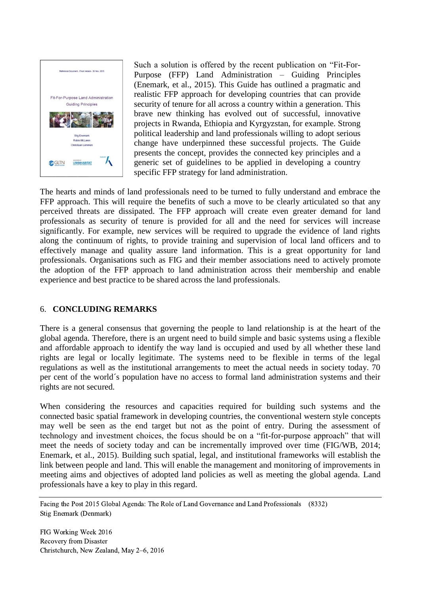

Such a solution is offered by the recent publication on "Fit-For-Purpose (FFP) Land Administration – Guiding Principles (Enemark, et al., 2015). This Guide has outlined a pragmatic and realistic FFP approach for developing countries that can provide security of tenure for all across a country within a generation. This brave new thinking has evolved out of successful, innovative projects in Rwanda, Ethiopia and Kyrgyzstan, for example. Strong political leadership and land professionals willing to adopt serious change have underpinned these successful projects. The Guide presents the concept, provides the connected key principles and a generic set of guidelines to be applied in developing a country specific FFP strategy for land administration.

The hearts and minds of land professionals need to be turned to fully understand and embrace the FFP approach. This will require the benefits of such a move to be clearly articulated so that any perceived threats are dissipated. The FFP approach will create even greater demand for land professionals as security of tenure is provided for all and the need for services will increase significantly. For example, new services will be required to upgrade the evidence of land rights along the continuum of rights, to provide training and supervision of local land officers and to effectively manage and quality assure land information. This is a great opportunity for land professionals. Organisations such as FIG and their member associations need to actively promote the adoption of the FFP approach to land administration across their membership and enable experience and best practice to be shared across the land professionals.

## 6. **CONCLUDING REMARKS**

There is a general consensus that governing the people to land relationship is at the heart of the global agenda. Therefore, there is an urgent need to build simple and basic systems using a flexible and affordable approach to identify the way land is occupied and used by all whether these land rights are legal or locally legitimate. The systems need to be flexible in terms of the legal regulations as well as the institutional arrangements to meet the actual needs in society today. 70 per cent of the world´s population have no access to formal land administration systems and their rights are not secured.

When considering the resources and capacities required for building such systems and the connected basic spatial framework in developing countries, the conventional western style concepts may well be seen as the end target but not as the point of entry. During the assessment of technology and investment choices, the focus should be on a "fit-for-purpose approach" that will meet the needs of society today and can be incrementally improved over time (FIG/WB, 2014; Enemark, et al., 2015). Building such spatial, legal, and institutional frameworks will establish the link between people and land. This will enable the management and monitoring of improvements in meeting aims and objectives of adopted land policies as well as meeting the global agenda. Land professionals have a key to play in this regard.

Facing the Post 2015 Global Agenda: The Role of Land Governance and Land Professionals (8332) Stig Enemark (Denmark)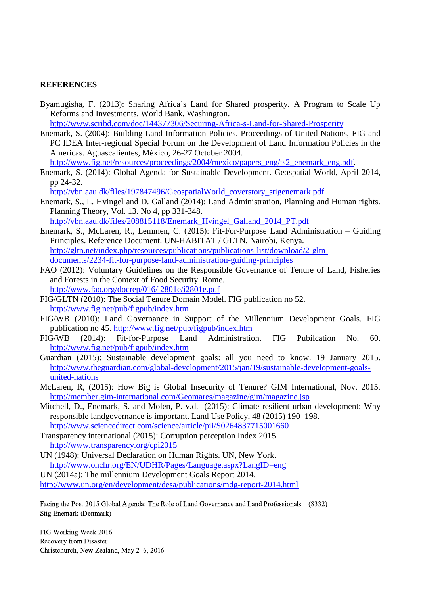### **REFERENCES**

Byamugisha, F. (2013): Sharing Africa´s Land for Shared prosperity. A Program to Scale Up Reforms and Investments. World Bank, Washington.

<http://www.scribd.com/doc/144377306/Securing-Africa-s-Land-for-Shared-Prosperity>

Enemark, S. (2004): Building Land Information Policies. Proceedings of United Nations, FIG and PC IDEA Inter-regional Special Forum on the Development of Land Information Policies in the Americas. Aguascalientes, México, 26-27 October 2004.

[http://www.fig.net/resources/proceedings/2004/mexico/papers\\_eng/ts2\\_enemark\\_eng.pdf.](http://www.fig.net/resources/proceedings/2004/mexico/papers_eng/ts2_enemark_eng.pdf)

Enemark, S. (2014): Global Agenda for Sustainable Development. Geospatial World, April 2014, pp 24-32.

[http://vbn.aau.dk/files/197847496/GeospatialWorld\\_coverstory\\_stigenemark.pdf](http://vbn.aau.dk/files/197847496/GeospatialWorld_coverstory_stigenemark.pdf)

- Enemark, S., L. Hvingel and D. Galland (2014): Land Administration, Planning and Human rights. Planning Theory, Vol. 13. No 4, pp 331-348. [http://vbn.aau.dk/files/208815118/Enemark\\_Hvingel\\_Galland\\_2014\\_PT.pdf](http://vbn.aau.dk/files/208815118/Enemark_Hvingel_Galland_2014_PT.pdf)
- Enemark, S., McLaren, R., Lemmen, C. (2015): Fit-For-Purpose Land Administration Guiding Principles. Reference Document. UN-HABITAT / GLTN, Nairobi, Kenya. [http://gltn.net/index.php/resources/publications/publications-list/download/2-gltn](http://gltn.net/index.php/resources/publications/publications-list/download/2-gltn-documents/2234-fit-for-purpose-land-administration-guiding-principles)[documents/2234-fit-for-purpose-land-administration-guiding-principles](http://gltn.net/index.php/resources/publications/publications-list/download/2-gltn-documents/2234-fit-for-purpose-land-administration-guiding-principles)
- FAO (2012): Voluntary Guidelines on the Responsible Governance of Tenure of Land, Fisheries and Forests in the Context of Food Security. Rome. <http://www.fao.org/docrep/016/i2801e/i2801e.pdf>
- FIG/GLTN (2010): The Social Tenure Domain Model. FIG publication no 52. <http://www.fig.net/pub/figpub/index.htm>
- FIG/WB (2010): Land Governance in Support of the Millennium Development Goals. FIG publication no 45.<http://www.fig.net/pub/figpub/index.htm>
- FIG/WB (2014): Fit-for-Purpose Land Administration. FIG Pubilcation No. 60. <http://www.fig.net/pub/figpub/index.htm>
- Guardian (2015): Sustainable development goals: all you need to know. 19 January 2015. [http://www.theguardian.com/global-development/2015/jan/19/sustainable-development-goals](http://www.theguardian.com/global-development/2015/jan/19/sustainable-development-goals-united-nations)[united-nations](http://www.theguardian.com/global-development/2015/jan/19/sustainable-development-goals-united-nations)
- McLaren, R, (2015): How Big is Global Insecurity of Tenure? GIM International, Nov. 2015. <http://member.gim-international.com/Geomares/magazine/gim/magazine.jsp>
- Mitchell, D., Enemark, S. and Molen, P. v.d. (2015): Climate resilient urban development: Why responsible landgovernance is important. Land Use Policy, 48 (2015) 190–198. <http://www.sciencedirect.com/science/article/pii/S0264837715001660>
- Transparency international (2015): Corruption perception Index 2015. <http://www.transparency.org/cpi2015>
- UN (1948): Universal Declaration on Human Rights. UN, New York. <http://www.ohchr.org/EN/UDHR/Pages/Language.aspx?LangID=eng>
- UN (2014a): The millennium Development Goals Report 2014.

<http://www.un.org/en/development/desa/publications/mdg-report-2014.html>

Facing the Post 2015 Global Agenda: The Role of Land Governance and Land Professionals (8332) Stig Enemark (Denmark)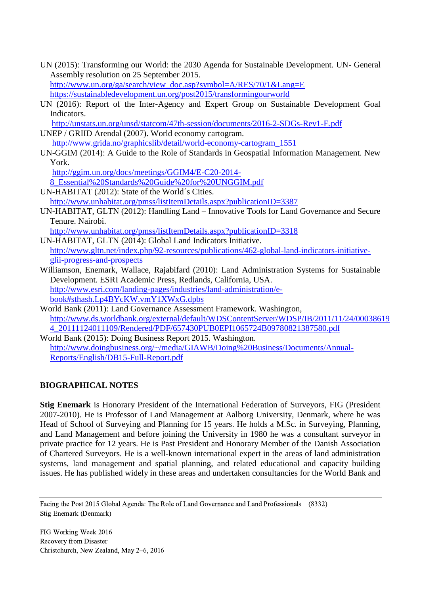- UN (2015): Transforming our World: the 2030 Agenda for Sustainable Development. UN- General Assembly resolution on 25 September 2015. [http://www.un.org/ga/search/view\\_doc.asp?symbol=A/RES/70/1&Lang=E](http://www.un.org/ga/search/view_doc.asp?symbol=A/RES/70/1&Lang=E) <https://sustainabledevelopment.un.org/post2015/transformingourworld>
- UN (2016): Report of the Inter-Agency and Expert Group on Sustainable Development Goal Indicators.

<http://unstats.un.org/unsd/statcom/47th-session/documents/2016-2-SDGs-Rev1-E.pdf> UNEP / GRIID Arendal (2007). World economy cartogram.

[http://www.grida.no/graphicslib/detail/world-economy-cartogram\\_1551](http://www.grida.no/graphicslib/detail/world-economy-cartogram_1551)

UN-GGIM (2014): A Guide to the Role of Standards in Geospatial Information Management. New York.

[http://ggim.un.org/docs/meetings/GGIM4/E-C20-2014-](http://ggim.un.org/docs/meetings/GGIM4/E-C20-2014-8_Essential%20Standards%20Guide%20for%20UNGGIM.pdf) [8\\_Essential%20Standards%20Guide%20for%20UNGGIM.pdf](http://ggim.un.org/docs/meetings/GGIM4/E-C20-2014-8_Essential%20Standards%20Guide%20for%20UNGGIM.pdf)

- UN-HABITAT (2012): State of the World´s Cities. <http://www.unhabitat.org/pmss/listItemDetails.aspx?publicationID=3387>
- UN-HABITAT, GLTN (2012): Handling Land Innovative Tools for Land Governance and Secure Tenure. Nairobi.

<http://www.unhabitat.org/pmss/listItemDetails.aspx?publicationID=3318>

- UN-HABITAT, GLTN (2014): Global Land Indicators Initiative. [http://www.gltn.net/index.php/92-resources/publications/462-global-land-indicators-initiative](http://www.gltn.net/index.php/92-resources/publications/462-global-land-indicators-initiative-glii-progress-and-prospects)[glii-progress-and-prospects](http://www.gltn.net/index.php/92-resources/publications/462-global-land-indicators-initiative-glii-progress-and-prospects)
- Williamson, Enemark, Wallace, Rajabifard (2010): Land Administration Systems for Sustainable Development. ESRI Academic Press, Redlands, California, USA. [http://www.esri.com/landing-pages/industries/land-administration/e](http://www.esri.com/landing-pages/industries/land-administration/e-book#sthash.Lp4BYcKW.vmY1XWxG.dpbs)[book#sthash.Lp4BYcKW.vmY1XWxG.dpbs](http://www.esri.com/landing-pages/industries/land-administration/e-book#sthash.Lp4BYcKW.vmY1XWxG.dpbs)
- World Bank (2011): Land Governance Assessment Framework. Washington, [http://www.ds.worldbank.org/external/default/WDSContentServer/WDSP/IB/2011/11/24/00038619](http://www.ds.worldbank.org/external/default/WDSContentServer/WDSP/IB/2011/11/24/000386194_20111124011109/Rendered/PDF/657430PUB0EPI1065724B09780821387580.pdf) [4\\_20111124011109/Rendered/PDF/657430PUB0EPI1065724B09780821387580.pdf](http://www.ds.worldbank.org/external/default/WDSContentServer/WDSP/IB/2011/11/24/000386194_20111124011109/Rendered/PDF/657430PUB0EPI1065724B09780821387580.pdf)
- World Bank (2015): Doing Business Report 2015. Washington. [http://www.doingbusiness.org/~/media/GIAWB/Doing%20Business/Documents/Annual-](http://www.doingbusiness.org/~/media/GIAWB/Doing%20Business/Documents/Annual-Reports/English/DB15-Full-Report.pdf)[Reports/English/DB15-Full-Report.pdf](http://www.doingbusiness.org/~/media/GIAWB/Doing%20Business/Documents/Annual-Reports/English/DB15-Full-Report.pdf)

## **BIOGRAPHICAL NOTES**

**Stig Enemark** is Honorary President of the International Federation of Surveyors, FIG (President 2007-2010). He is Professor of Land Management at Aalborg University, Denmark, where he was Head of School of Surveying and Planning for 15 years. He holds a M.Sc. in Surveying, Planning, and Land Management and before joining the University in 1980 he was a consultant surveyor in private practice for 12 years. He is Past President and Honorary Member of the Danish Association of Chartered Surveyors. He is a well-known international expert in the areas of land administration systems, land management and spatial planning, and related educational and capacity building issues. He has published widely in these areas and undertaken consultancies for the World Bank and